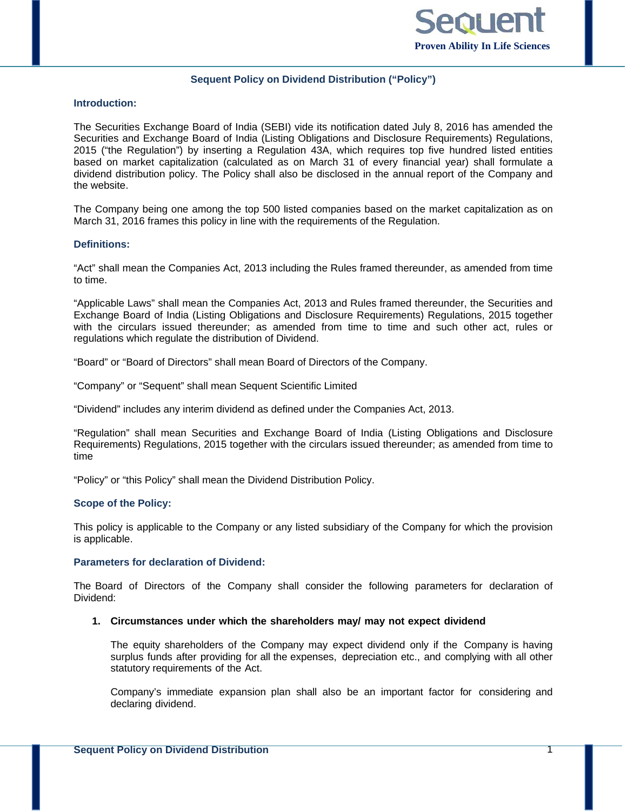

## **Sequent Policy on Dividend Distribution ("Policy")**

### **Introduction:**

The Securities Exchange Board of India (SEBI) vide its notification dated July 8, 2016 has amended the Securities and Exchange Board of India (Listing Obligations and Disclosure Requirements) Regulations, 2015 ("the Regulation") by inserting a Regulation 43A, which requires top five hundred listed entities based on market capitalization (calculated as on March 31 of every financial year) shall formulate a dividend distribution policy. The Policy shall also be disclosed in the annual report of the Company and the website.

The Company being one among the top 500 listed companies based on the market capitalization as on March 31, 2016 frames this policy in line with the requirements of the Regulation.

## **Definitions:**

"Act" shall mean the Companies Act, 2013 including the Rules framed thereunder, as amended from time to time.

"Applicable Laws" shall mean the Companies Act, 2013 and Rules framed thereunder, the Securities and Exchange Board of India (Listing Obligations and Disclosure Requirements) Regulations, 2015 together with the circulars issued thereunder; as amended from time to time and such other act, rules or regulations which regulate the distribution of Dividend.

"Board" or "Board of Directors" shall mean Board of Directors of the Company.

"Company" or "Sequent" shall mean Sequent Scientific Limited

"Dividend" includes any interim dividend as defined under the Companies Act, 2013.

"Regulation" shall mean Securities and Exchange Board of India (Listing Obligations and Disclosure Requirements) Regulations, 2015 together with the circulars issued thereunder; as amended from time to time

"Policy" or "this Policy" shall mean the Dividend Distribution Policy.

### **Scope of the Policy:**

This policy is applicable to the Company or any listed subsidiary of the Company for which the provision is applicable.

#### **Parameters for declaration of Dividend:**

The Board of Directors of the Company shall consider the following parameters for declaration of Dividend:

#### **1. Circumstances under which the shareholders may/ may not expect dividend**

The equity shareholders of the Company may expect dividend only if the Company is having surplus funds after providing for all the expenses, depreciation etc., and complying with all other statutory requirements of the Act.

Company's immediate expansion plan shall also be an important factor for considering and declaring dividend.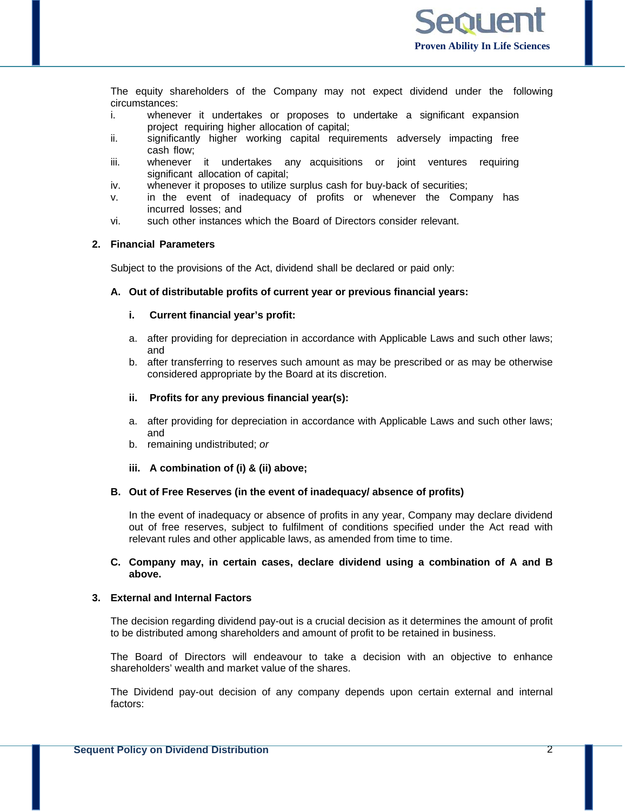

The equity shareholders of the Company may not expect dividend under the following circumstances:

- i. whenever it undertakes or proposes to undertake a significant expansion project requiring higher allocation of capital;
- ii. significantly higher working capital requirements adversely impacting free cash flow;
- iii. whenever it undertakes any acquisitions or joint ventures requiring significant allocation of capital;
- iv. whenever it proposes to utilize surplus cash for buy-back of securities;
- v. in the event of inadequacy of profits or whenever the Company has incurred losses; and
- vi. such other instances which the Board of Directors consider relevant.

## **2. Financial Parameters**

Subject to the provisions of the Act, dividend shall be declared or paid only:

#### **A. Out of distributable profits of current year or previous financial years:**

## **i. Current financial year's profit:**

- a. after providing for depreciation in accordance with Applicable Laws and such other laws; and
- b. after transferring to reserves such amount as may be prescribed or as may be otherwise considered appropriate by the Board at its discretion.

#### **ii. Profits for any previous financial year(s):**

- a. after providing for depreciation in accordance with Applicable Laws and such other laws; and
- b. remaining undistributed; *or*

### **iii. A combination of (i) & (ii) above;**

### **B. Out of Free Reserves (in the event of inadequacy/ absence of profits)**

In the event of inadequacy or absence of profits in any year, Company may declare dividend out of free reserves, subject to fulfilment of conditions specified under the Act read with relevant rules and other applicable laws, as amended from time to time.

## **C. Company may, in certain cases, declare dividend using a combination of A and B above.**

## **3. External and Internal Factors**

The decision regarding dividend pay-out is a crucial decision as it determines the amount of profit to be distributed among shareholders and amount of profit to be retained in business.

The Board of Directors will endeavour to take a decision with an objective to enhance shareholders' wealth and market value of the shares.

The Dividend pay-out decision of any company depends upon certain external and internal factors: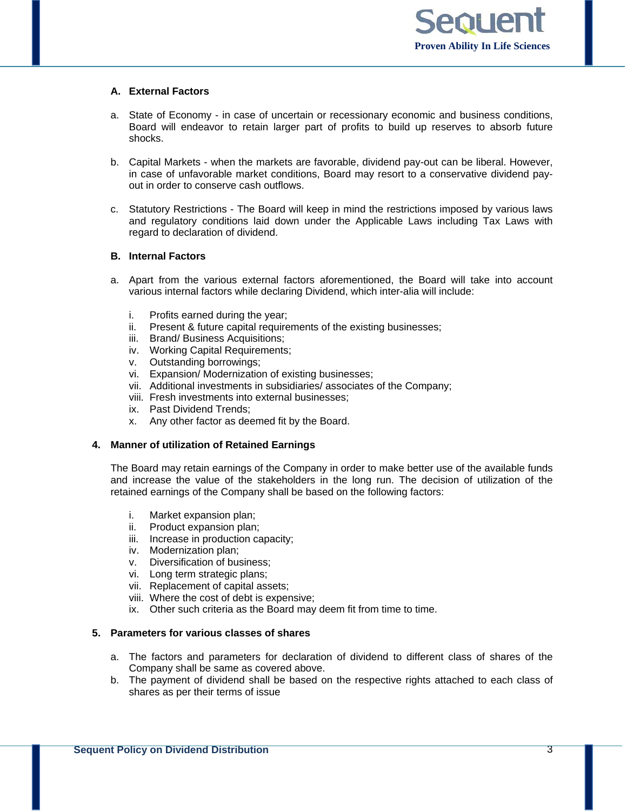## **A. External Factors**

- a. State of Economy in case of uncertain or recessionary economic and business conditions, Board will endeavor to retain larger part of profits to build up reserves to absorb future shocks.
- b. Capital Markets when the markets are favorable, dividend pay-out can be liberal. However, in case of unfavorable market conditions, Board may resort to a conservative dividend payout in order to conserve cash outflows.
- c. Statutory Restrictions The Board will keep in mind the restrictions imposed by various laws and regulatory conditions laid down under the Applicable Laws including Tax Laws with regard to declaration of dividend.

## **B. Internal Factors**

- a. Apart from the various external factors aforementioned, the Board will take into account various internal factors while declaring Dividend, which inter-alia will include:
	- i. Profits earned during the year;
	- ii. Present & future capital requirements of the existing businesses;
	- iii. Brand/ Business Acquisitions;
	- iv. Working Capital Requirements;
	- v. Outstanding borrowings;
	- vi. Expansion/ Modernization of existing businesses;
	- vii. Additional investments in subsidiaries/ associates of the Company;
	- viii. Fresh investments into external businesses;
	- ix. Past Dividend Trends;
	- x. Any other factor as deemed fit by the Board.

# **4. Manner of utilization of Retained Earnings**

The Board may retain earnings of the Company in order to make better use of the available funds and increase the value of the stakeholders in the long run. The decision of utilization of the retained earnings of the Company shall be based on the following factors:

- i. Market expansion plan;
- ii. Product expansion plan;
- iii. Increase in production capacity;
- iv. Modernization plan;
- v. Diversification of business;
- vi. Long term strategic plans;
- vii. Replacement of capital assets;
- viii. Where the cost of debt is expensive;
- ix. Other such criteria as the Board may deem fit from time to time.

## **5. Parameters for various classes of shares**

- a. The factors and parameters for declaration of dividend to different class of shares of the Company shall be same as covered above.
- b. The payment of dividend shall be based on the respective rights attached to each class of shares as per their terms of issue